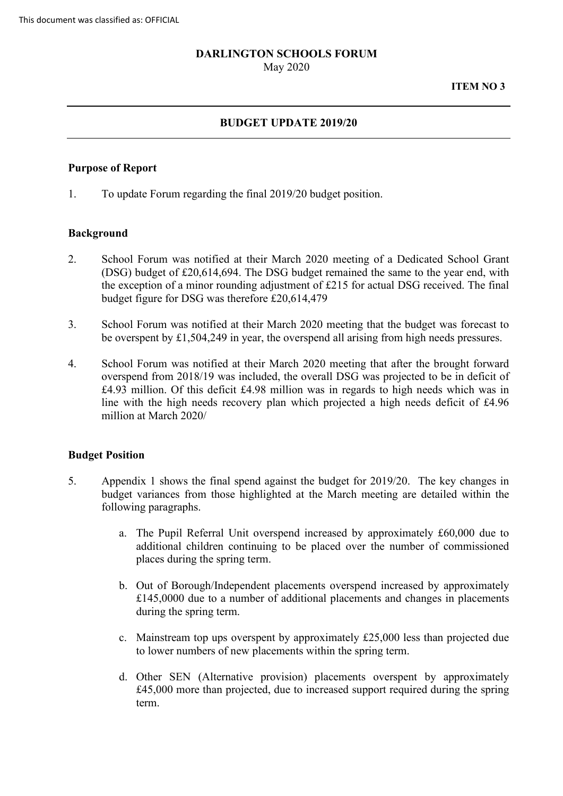### **DARLINGTON SCHOOLS FORUM**

May 2020

**ITEM NO 3** 

## **BUDGET UPDATE 2019/20**

### **Purpose of Report**

1. To update Forum regarding the final 2019/20 budget position.

### **Background**

- 2. School Forum was notified at their March 2020 meeting of a Dedicated School Grant budget figure for DSG was therefore £20,614,479 (DSG) budget of £20,614,694. The DSG budget remained the same to the year end, with the exception of a minor rounding adjustment of £215 for actual DSG received. The final
- 3. School Forum was notified at their March 2020 meeting that the budget was forecast to be overspent by £1,504,249 in year, the overspend all arising from high needs pressures.
- overspend from 2018/19 was included, the overall DSG was projected to be in deficit of £4.93 million. Of this deficit £4.98 million was in regards to high needs which was in 4. School Forum was notified at their March 2020 meeting that after the brought forward line with the high needs recovery plan which projected a high needs deficit of £4.96 million at March 2020/

## **Budget Position**

- 5. Appendix 1 shows the final spend against the budget for 2019/20. The key changes in budget variances from those highlighted at the March meeting are detailed within the following paragraphs.
	- a. The Pupil Referral Unit overspend increased by approximately £60,000 due to additional children continuing to be placed over the number of commissioned places during the spring term.
	- b. Out of Borough/Independent placements overspend increased by approximately £145,0000 due to a number of additional placements and changes in placements during the spring term.
	- c. Mainstream top ups overspent by approximately £25,000 less than projected due to lower numbers of new placements within the spring term.
	- d. Other SEN (Alternative provision) placements overspent by approximately £45,000 more than projected, due to increased support required during the spring term.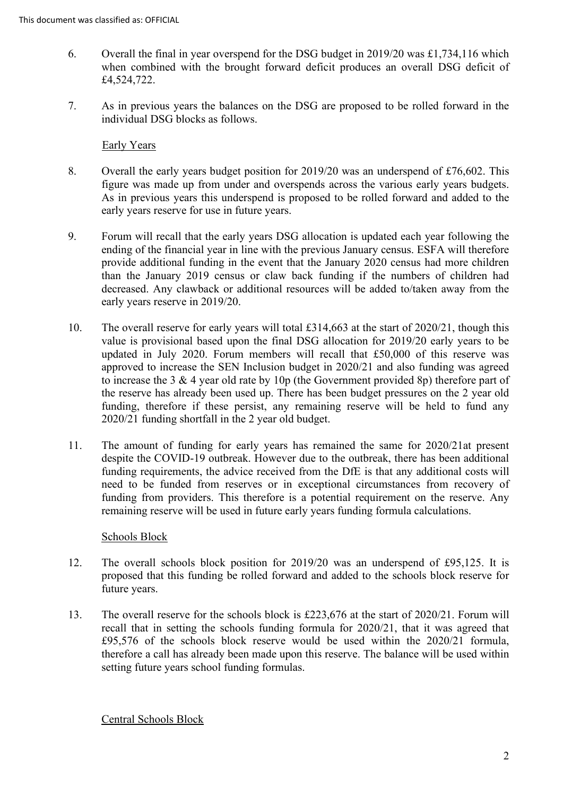- 6. Overall the final in year overspend for the DSG budget in 2019/20 was £1,734,116 which when combined with the brought forward deficit produces an overall DSG deficit of £4,524,722.
- 7. As in previous years the balances on the DSG are proposed to be rolled forward in the individual DSG blocks as follows.

# Early Years

- Overall the early years budget position for 2019/20 was an underspend of £76,602. This 8. figure was made up from under and overspends across the various early years budgets. As in previous years this underspend is proposed to be rolled forward and added to the early years reserve for use in future years.
- 9. Forum will recall that the early years DSG allocation is updated each year following the ending of the financial year in line with the previous January census. ESFA will therefore provide additional funding in the event that the January 2020 census had more children than the January 2019 census or claw back funding if the numbers of children had decreased. Any clawback or additional resources will be added to/taken away from the early years reserve in 2019/20.
- value is provisional based upon the final DSG allocation for 2019/20 early years to be 10. The overall reserve for early years will total £314,663 at the start of 2020/21, though this updated in July 2020. Forum members will recall that £50,000 of this reserve was approved to increase the SEN Inclusion budget in 2020/21 and also funding was agreed to increase the 3 & 4 year old rate by 10p (the Government provided 8p) therefore part of the reserve has already been used up. There has been budget pressures on the 2 year old funding, therefore if these persist, any remaining reserve will be held to fund any 2020/21 funding shortfall in the 2 year old budget.
- funding from providers. This therefore is a potential requirement on the reserve. Any 11. The amount of funding for early years has remained the same for 2020/21at present despite the COVID-19 outbreak. However due to the outbreak, there has been additional funding requirements, the advice received from the DfE is that any additional costs will need to be funded from reserves or in exceptional circumstances from recovery of remaining reserve will be used in future early years funding formula calculations.

## Schools Block

- 12. The overall schools block position for 2019/20 was an underspend of £95,125. It is proposed that this funding be rolled forward and added to the schools block reserve for future years.
- 13. The overall reserve for the schools block is £223,676 at the start of 2020/21. Forum will recall that in setting the schools funding formula for 2020/21, that it was agreed that £95,576 of the schools block reserve would be used within the 2020/21 formula, therefore a call has already been made upon this reserve. The balance will be used within setting future years school funding formulas.

## Central Schools Block